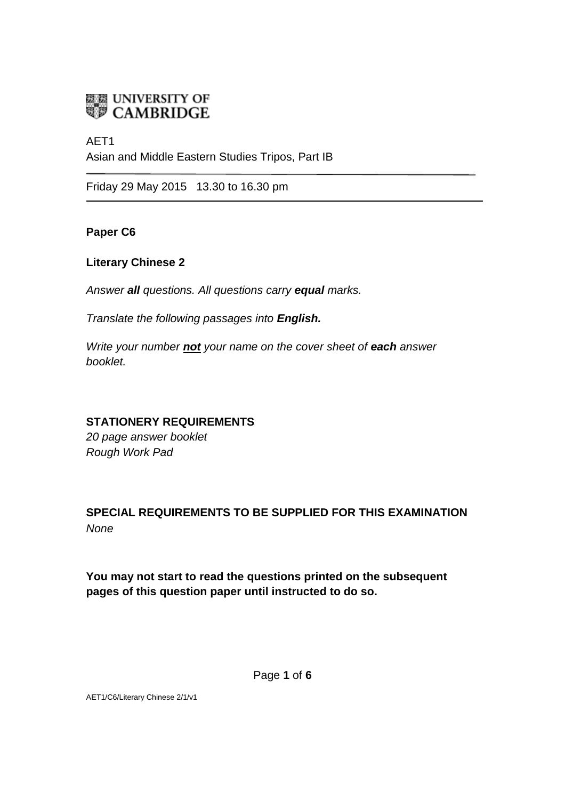

# AET1 Asian and Middle Eastern Studies Tripos, Part IB

Friday 29 May 2015 13.30 to 16.30 pm

**Paper C6**

#### **Literary Chinese 2**

*Answer all questions. All questions carry equal marks.*

*Translate the following passages into English.* 

*Write your number not your name on the cover sheet of each answer booklet.* 

#### **STATIONERY REQUIREMENTS**

*20 page answer booklet Rough Work Pad*

## **SPECIAL REQUIREMENTS TO BE SUPPLIED FOR THIS EXAMINATION** *None*

**You may not start to read the questions printed on the subsequent pages of this question paper until instructed to do so.**

Page **1** of **6**

AET1/C6/Literary Chinese 2/1/v1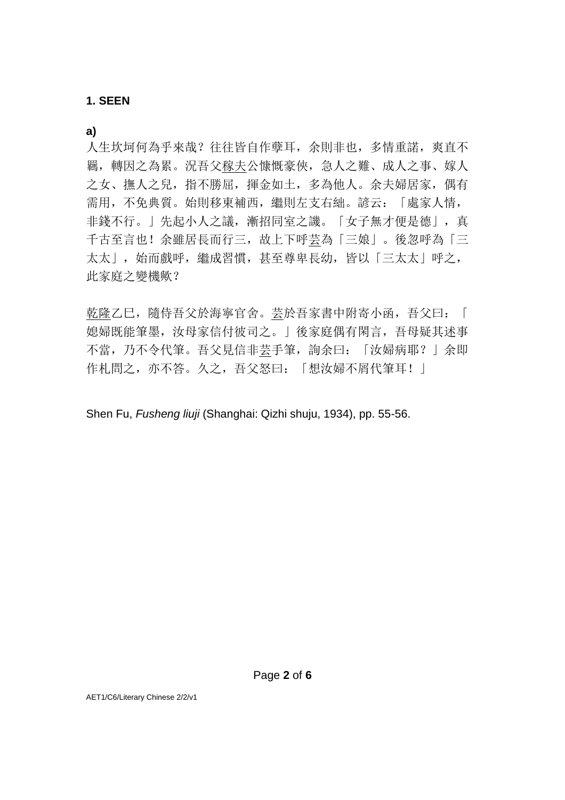#### **1. SEEN**

**a)**

人生坎坷何為乎來哉?往往皆自作孽耳,余則非也,多情重諾,爽直不 羈,轉因之為累。況吾父稼夫公慷慨豪俠,急人之難、成人之事、嫁人 之女、撫人之兒,指不勝屈,揮金如土,多為他人。余夫婦居家,偶有 需用,不免典質。始則移東補西,繼則左支右絀。諺云:「處家人情, 非錢不行。」先起小人之議,漸招同室之譏。「女子無才便是德」,真 千古至言也!余雖居長而行三,故上下呼芸為「三娘」。後忽呼為「三 太太」,始而戲呼,繼成習慣,甚至尊卑長幼,皆以「三太太」呼之, 此家庭之變機歟?

乾隆乙巳,隨侍吾父於海寧官舍。芸於吾家書中附寄小函,吾父曰:「 媳婦既能筆墨,汝母家信付彼司之。」後家庭偶有閑言,吾母疑其述事 不當,乃不令代筆。吾父見信非芸手筆,詢余曰:「汝婦病耶?」余即 作札問之,亦不答。久之,吾父怒曰:「想汝婦不屑代筆耳!」

Shen Fu, *Fusheng liuji* (Shanghai: Qizhi shuju, 1934), pp. 55-56.

AET1/C6/Literary Chinese 2/2/v1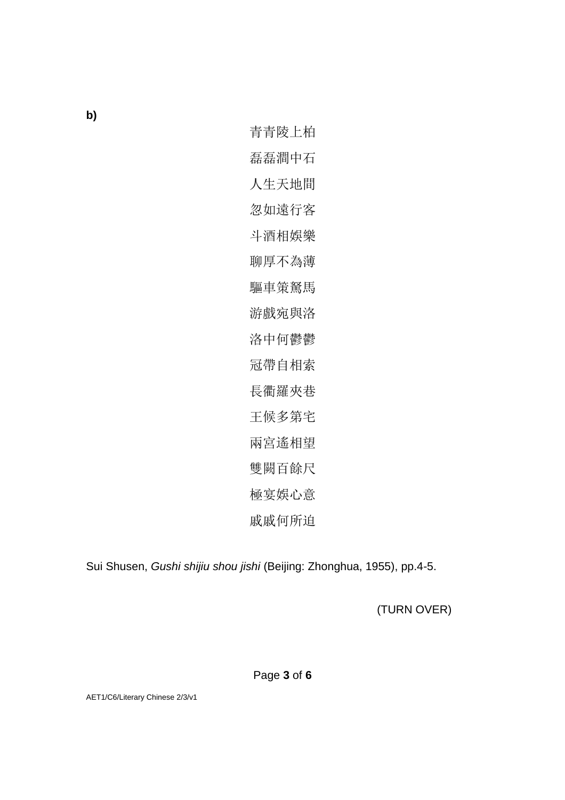**b)**

青青陵上柏 磊磊澗中石 人生天地間 忽如遠行客 斗酒相娛樂 聊厚不為薄 驅車策駑馬 游戲宛與洛 洛中何鬱鬱 冠帶自相索 長衢羅夾巷 王候多第宅 兩宮遙相望 雙闕百餘尺 極宴娛心意 戚戚何所迫

Sui Shusen, *Gushi shijiu shou jishi* (Beijing: Zhonghua, 1955), pp.4-5.

(TURN OVER)

Page **3** of **6**

AET1/C6/Literary Chinese 2/3/v1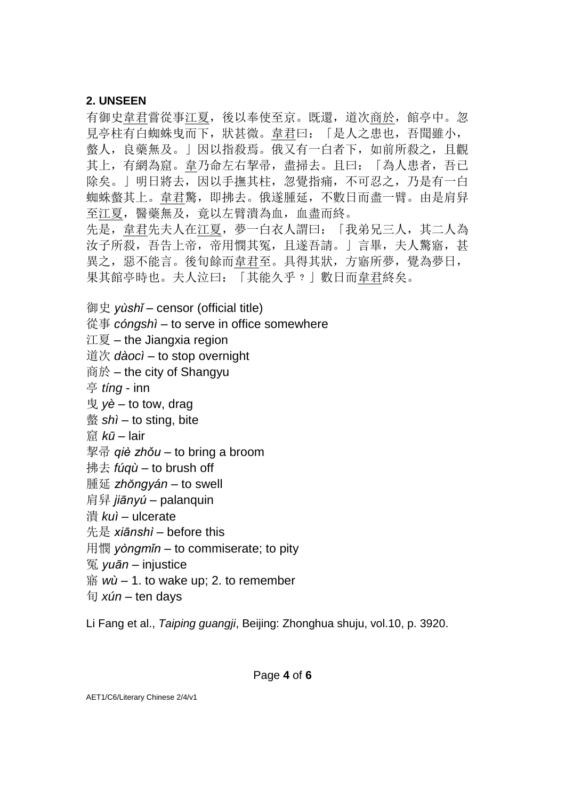#### **2. UNSEEN**

有御史韋君嘗從事江夏,後以奉使至京。既還,道次商於,館亭中。忽 見亭柱有白蜘蛛曳而下,狀甚微。韋君曰:「是人之患也,吾聞雖小, 螫人,良藥無及。」因以指殺焉。俄又有一白者下,如前所殺之,且觀 其上,有網為窟。韋乃命左右挈帚,盡掃去。且曰:「為人患者,吾已 除矣。」明日將去,因以手撫其柱,忽覺指痛,不可忍之,乃是有一白 蜘蛛螫其上。韋君驚,即拂去。俄遂腫延,不數日而盡一臂。由是肩舁 至江夏,醫藥無及,竟以左臂潰為血,血盡而終。 先是, 韋君先夫人在江夏, 夢一白衣人謂曰: 「我弟兄三人, 其二人為 汝子所殺,吾告上帝,帝用憫其冤,且遂吾請。」言畢,夫人驚寤,甚 異之,惡不能言。後旬餘而韋君至。具得其狀,方寤所夢,覺為夢日, 果其館亭時也。夫人泣曰:「其能久乎﹖」數日而韋君終矣。

御史 *yùshǐ* – censor (official title)

從事 *cóngshì* – to serve in office somewhere

江夏 – the Jiangxia region

道次 *dàocì* – to stop overnight

商於 – the city of Shangyu

亭 *tíng* - inn

曳 *yè* – to tow, drag

螫 *shì* – to sting, bite

窟 *kū* – lair

挈帚 *qiè zhǒu* – to bring a broom

拂去 *fúqù* – to brush off

腫延 *zhŏngyán* – to swell

肩舁 *jiānyú* – palanquin

潰 *kuì* – ulcerate

先是 *xiānshì* – before this

用憫 *yòngmǐn* – to commiserate; to pity

冤 *yuān* – injustice

寤 *wù* – 1. to wake up; 2. to remember

旬 *xún* – ten days

Li Fang et al., *Taiping guangji*, Beijing: Zhonghua shuju, vol.10, p. 3920.

AET1/C6/Literary Chinese 2/4/v1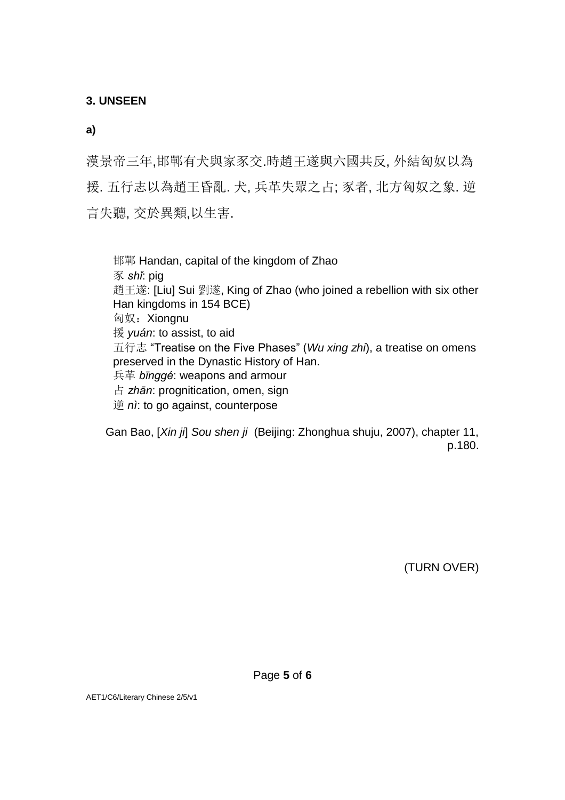**3. UNSEEN**

**a)**

漢景帝三年,邯鄲有犬與家豕交.時趙王遂與六國共反, 外結匈奴以為 援. 五行志以為趙王昏亂. 犬, 兵革失眾之占; 豕者, 北方匈奴之象. 逆 言失聽, 交於異類,以生害.

邯鄲 Handan, capital of the kingdom of Zhao 豕 *shǐ*: pig 趙王遂: [Liu] Sui 劉遂, King of Zhao (who joined a rebellion with six other Han kingdoms in 154 BCE) 匈奴: Xiongnu 援 *yuán*: to assist, to aid 五行志 "Treatise on the Five Phases" (*Wu xing zhi*), a treatise on omens preserved in the Dynastic History of Han. 兵革 *bīnggé*: weapons and armour 占 *zhān*: prognitication, omen, sign 逆 *nì*: to go against, counterpose

Gan Bao, [*Xin ji*] *Sou shen ji* (Beijing: Zhonghua shuju, 2007), chapter 11, p.180.

(TURN OVER)

AET1/C6/Literary Chinese 2/5/v1